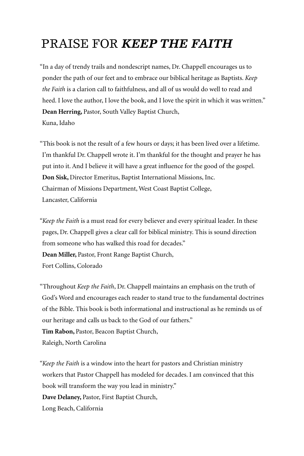#### PRAISE FOR *KEEP THE FAITH*

"In a day of trendy trails and nondescript names, Dr. Chappell encourages us to ponder the path of our feet and to embrace our biblical heritage as Baptists. *Keep the Faith* is a clarion call to faithfulness, and all of us would do well to read and heed. I love the author, I love the book, and I love the spirit in which it was written." **Dean Herring,** Pastor, South Valley Baptist Church, Kuna, Idaho

"This book is not the result of a few hours or days; it has been lived over a lifetime. I'm thankful Dr. Chappell wrote it. I'm thankful for the thought and prayer he has put into it. And I believe it will have a great influence for the good of the gospel. **Don Sisk,** Director Emeritus, Baptist International Missions, Inc. Chairman of Missions Department, West Coast Baptist College, Lancaster, California

*"Keep the Faith* is a must read for every believer and every spiritual leader. In these pages, Dr. Chappell gives a clear call for biblical ministry. This is sound direction from someone who has walked this road for decades." **Dean Miller,** Pastor, Front Range Baptist Church, Fort Collins, Colorado

"Throughout *Keep the Faith*, Dr. Chappell maintains an emphasis on the truth of God's Word and encourages each reader to stand true to the fundamental doctrines of the Bible. This book is both informational and instructional as he reminds us of our heritage and calls us back to the God of our fathers." **Tim Rabon,** Pastor, Beacon Baptist Church,

Raleigh, North Carolina

*"Keep the Faith* is a window into the heart for pastors and Christian ministry workers that Pastor Chappell has modeled for decades. I am convinced that this book will transform the way you lead in ministry." **Dave Delaney,** Pastor, First Baptist Church, Long Beach, California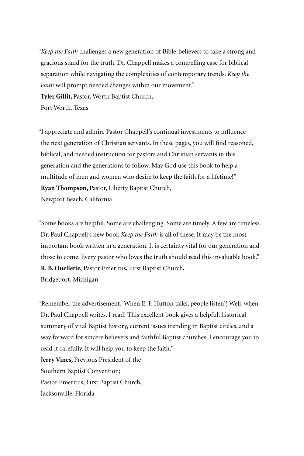*"Keep the Faith* challenges a new generation of Bible-believers to take a strong and gracious stand for the truth. Dr. Chappell makes a compelling case for biblical separation while navigating the complexities of contemporary trends. *Keep the Faith* will prompt needed changes within our movement." **Tyler Gillit,** Pastor, Worth Baptist Church, Fort Worth, Texas

"I appreciate and admire Pastor Chappell's continual investments to influence the next generation of Christian servants. In these pages, you will find reasoned, biblical, and needed instruction for pastors and Christian servants in this generation and the generations to follow. May God use this book to help a multitude of men and women who desire to keep the faith for a lifetime!" **Ryan Thompson,** Pastor, Liberty Baptist Church,

Newport Beach, California

"Some books are helpful. Some are challenging. Some are timely. A few are timeless. Dr. Paul Chappell's new book *Keep the Faith* is all of these. It may be the most important book written in a generation. It is certainty vital for our generation and those to come. Every pastor who loves the truth should read this invaluable book." **R. B. Ouellette,** Pastor Emeritus, First Baptist Church,

Bridgeport, Michigan

"Remember the advertisement, 'When E. F. Hutton talks, people listen'? Well, when Dr. Paul Chappell writes, I read! This excellent book gives a helpful, historical summary of vital Baptist history, current issues trending in Baptist circles, and a way forward for sincere believers and faithful Baptist churches. I encourage you to read it carefully. It will help you to keep the faith."

**Jerry Vines,** Previous President of the Southern Baptist Convention; Pastor Emeritus, First Baptist Church, Jacksonville, Florida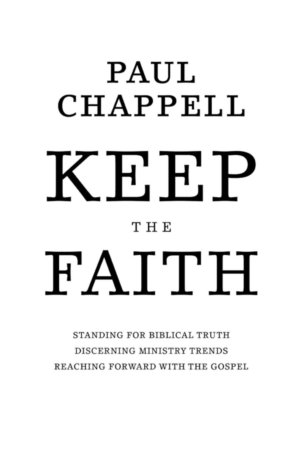# PAUL CHAPPELL  $T_{\rm H}$ t<br>T  $THE$ *The Church • The Trends • The Truth*

STANDING FOR BIBLICAL TRUTH DISCERNING MINISTRY TRENDS REACHING FORWARD WITH THE GOSPEL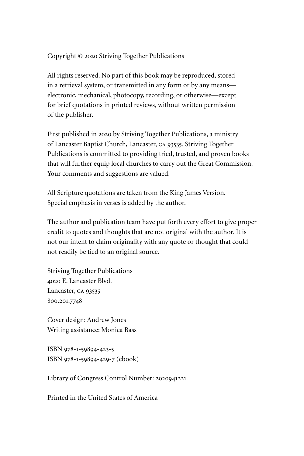Copyright © 2020 Striving Together Publications

All rights reserved. No part of this book may be reproduced, stored in a retrieval system, or transmitted in any form or by any means electronic, mechanical, photocopy, recording, or otherwise—except for brief quotations in printed reviews, without written permission of the publisher.

First published in 2020 by Striving Together Publications, a ministry of Lancaster Baptist Church, Lancaster, ca 93535. Striving Together Publications is committed to providing tried, trusted, and proven books that will further equip local churches to carry out the Great Commission. Your comments and suggestions are valued.

All Scripture quotations are taken from the King James Version. Special emphasis in verses is added by the author.

The author and publication team have put forth every effort to give proper credit to quotes and thoughts that are not original with the author. It is not our intent to claim originality with any quote or thought that could not readily be tied to an original source.

Striving Together Publications 4020 E. Lancaster Blvd. Lancaster, ca 93535 800.201.7748

Cover design: Andrew Jones Writing assistance: Monica Bass

ISBN 978-1-59894-423-5 ISBN 978-1-59894-429-7 (ebook)

Library of Congress Control Number: 2020941221

Printed in the United States of America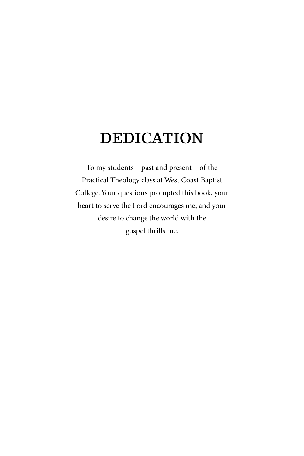### DEDICATION

To my students—past and present—of the Practical Theology class at West Coast Baptist College. Your questions prompted this book, your heart to serve the Lord encourages me, and your desire to change the world with the gospel thrills me.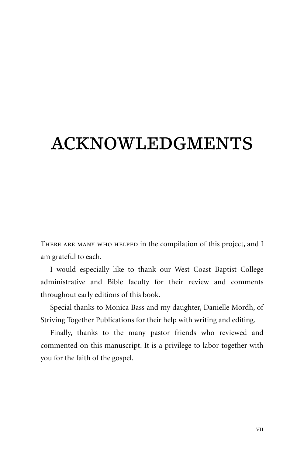# ACKNOWLEDGMENTS

There are many who helped in the compilation of this project, and I am grateful to each.

I would especially like to thank our West Coast Baptist College administrative and Bible faculty for their review and comments throughout early editions of this book.

Special thanks to Monica Bass and my daughter, Danielle Mordh, of Striving Together Publications for their help with writing and editing.

Finally, thanks to the many pastor friends who reviewed and commented on this manuscript. It is a privilege to labor together with you for the faith of the gospel.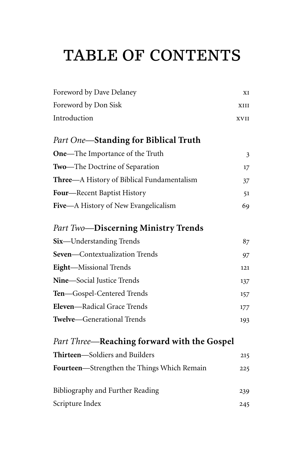# TABLE OF CONTENTS

| Foreword by Dave Delaney                    | XI             |
|---------------------------------------------|----------------|
| Foreword by Don Sisk                        | XIII           |
| Introduction                                | XVII           |
| Part One-Standing for Biblical Truth        |                |
| One-The Importance of the Truth             | $\mathfrak{Z}$ |
| Two-The Doctrine of Separation              | 17             |
| Three—A History of Biblical Fundamentalism  | 37             |
| Four-Recent Baptist History                 | 51             |
| Five-A History of New Evangelicalism        | 69             |
| <b>Part Two-Discerning Ministry Trends</b>  |                |
| Six-Understanding Trends                    | 87             |
| Seven-Contextualization Trends              | 97             |
| Eight-Missional Trends                      | 121            |
| Nine-Social Justice Trends                  | 137            |
| Ten-Gospel-Centered Trends                  | 157            |
| Eleven-Radical Grace Trends                 | 177            |
| Twelve-Generational Trends                  | 193            |
| Part Three—Reaching forward with the Gospel |                |
| Thirteen-Soldiers and Builders              | 215            |
| Fourteen-Strengthen the Things Which Remain | 225            |
| Bibliography and Further Reading            | 239            |
| Scripture Index                             | 245            |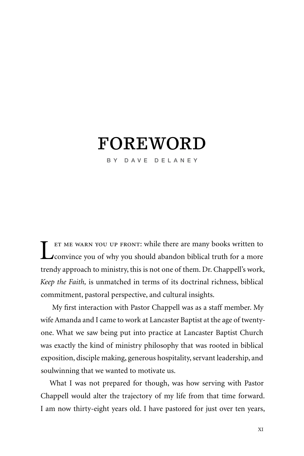### FOREWORD

BY DAVE DELANEY

Let me warn you up front: while there are many books written to<br>
convince you of why you should abandon biblical truth for a more trendy approach to ministry, this is not one of them. Dr. Chappell's work, *Keep the Faith,* is unmatched in terms of its doctrinal richness, biblical commitment, pastoral perspective, and cultural insights.

 My first interaction with Pastor Chappell was as a staff member. My wife Amanda and I came to work at Lancaster Baptist at the age of twentyone. What we saw being put into practice at Lancaster Baptist Church was exactly the kind of ministry philosophy that was rooted in biblical exposition, disciple making, generous hospitality, servant leadership, and soulwinning that we wanted to motivate us.

What I was not prepared for though, was how serving with Pastor Chappell would alter the trajectory of my life from that time forward. I am now thirty-eight years old. I have pastored for just over ten years,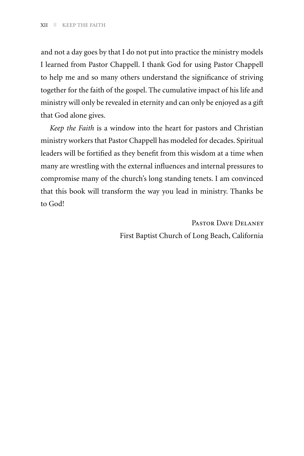and not a day goes by that I do not put into practice the ministry models I learned from Pastor Chappell. I thank God for using Pastor Chappell to help me and so many others understand the significance of striving together for the faith of the gospel. The cumulative impact of his life and ministry will only be revealed in eternity and can only be enjoyed as a gift that God alone gives.

*Keep the Faith* is a window into the heart for pastors and Christian ministry workers that Pastor Chappell has modeled for decades. Spiritual leaders will be fortified as they benefit from this wisdom at a time when many are wrestling with the external influences and internal pressures to compromise many of the church's long standing tenets. I am convinced that this book will transform the way you lead in ministry. Thanks be to God!

> Pastor Dave Delaney First Baptist Church of Long Beach, California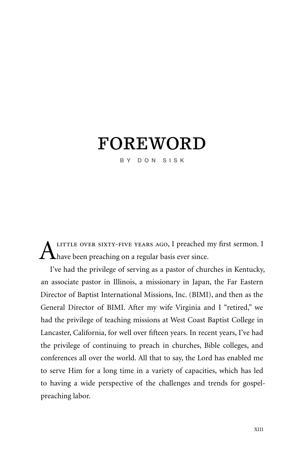### FOREWORD

BY DON SISK

LITTLE OVER SIXTY-FIVE YEARS AGO, I preached my first sermon. I **Thave been preaching on a regular basis ever since.** 

I've had the privilege of serving as a pastor of churches in Kentucky, an associate pastor in Illinois, a missionary in Japan, the Far Eastern Director of Baptist International Missions, Inc. (BIMI), and then as the General Director of BIMI. After my wife Virginia and I "retired," we had the privilege of teaching missions at West Coast Baptist College in Lancaster, California, for well over fifteen years. In recent years, I've had the privilege of continuing to preach in churches, Bible colleges, and conferences all over the world. All that to say, the Lord has enabled me to serve Him for a long time in a variety of capacities, which has led to having a wide perspective of the challenges and trends for gospelpreaching labor.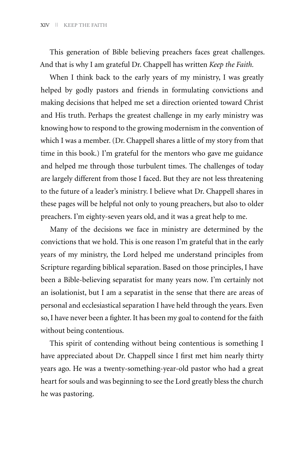This generation of Bible believing preachers faces great challenges. And that is why I am grateful Dr. Chappell has written *Keep the Faith.* 

When I think back to the early years of my ministry, I was greatly helped by godly pastors and friends in formulating convictions and making decisions that helped me set a direction oriented toward Christ and His truth. Perhaps the greatest challenge in my early ministry was knowing how to respond to the growing modernism in the convention of which I was a member. (Dr. Chappell shares a little of my story from that time in this book.) I'm grateful for the mentors who gave me guidance and helped me through those turbulent times. The challenges of today are largely different from those I faced. But they are not less threatening to the future of a leader's ministry. I believe what Dr. Chappell shares in these pages will be helpful not only to young preachers, but also to older preachers. I'm eighty-seven years old, and it was a great help to me.

Many of the decisions we face in ministry are determined by the convictions that we hold. This is one reason I'm grateful that in the early years of my ministry, the Lord helped me understand principles from Scripture regarding biblical separation. Based on those principles, I have been a Bible-believing separatist for many years now. I'm certainly not an isolationist, but I am a separatist in the sense that there are areas of personal and ecclesiastical separation I have held through the years. Even so, I have never been a fighter. It has been my goal to contend for the faith without being contentious.

This spirit of contending without being contentious is something I have appreciated about Dr. Chappell since I first met him nearly thirty years ago. He was a twenty-something-year-old pastor who had a great heart for souls and was beginning to see the Lord greatly bless the church he was pastoring.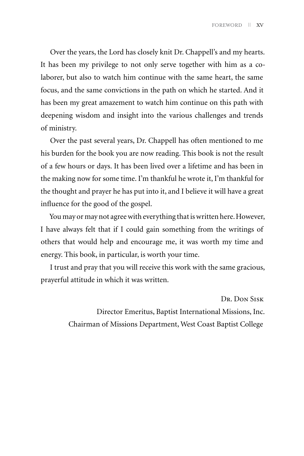Over the years, the Lord has closely knit Dr. Chappell's and my hearts. It has been my privilege to not only serve together with him as a colaborer, but also to watch him continue with the same heart, the same focus, and the same convictions in the path on which he started. And it has been my great amazement to watch him continue on this path with deepening wisdom and insight into the various challenges and trends of ministry.

Over the past several years, Dr. Chappell has often mentioned to me his burden for the book you are now reading. This book is not the result of a few hours or days. It has been lived over a lifetime and has been in the making now for some time. I'm thankful he wrote it, I'm thankful for the thought and prayer he has put into it, and I believe it will have a great influence for the good of the gospel.

You may or may not agree with everything that is written here. However, I have always felt that if I could gain something from the writings of others that would help and encourage me, it was worth my time and energy. This book, in particular, is worth your time.

I trust and pray that you will receive this work with the same gracious, prayerful attitude in which it was written.

> Dr. Don Sisk Director Emeritus, Baptist International Missions, Inc. Chairman of Missions Department, West Coast Baptist College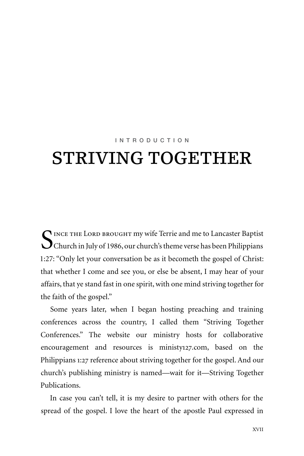#### INTRODUCTION

# STRIVING TOGETHER

 $\bigcap$  INCE THE LORD BROUGHT my wife Terrie and me to Lancaster Baptist Church in July of 1986, our church's theme verse has been Philippians 1:27: "Only let your conversation be as it becometh the gospel of Christ: that whether I come and see you, or else be absent, I may hear of your affairs, that ye stand fast in one spirit, with one mind striving together for the faith of the gospel."

Some years later, when I began hosting preaching and training conferences across the country, I called them "Striving Together Conferences." The website our ministry hosts for collaborative encouragement and resources is ministy127.com, based on the Philippians 1:27 reference about striving together for the gospel. And our church's publishing ministry is named—wait for it—Striving Together Publications.

In case you can't tell, it is my desire to partner with others for the spread of the gospel. I love the heart of the apostle Paul expressed in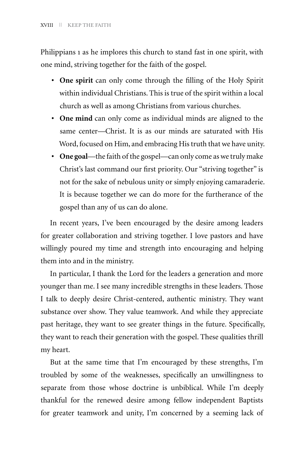Philippians 1 as he implores this church to stand fast in one spirit, with one mind, striving together for the faith of the gospel.

- **• One spirit** can only come through the filling of the Holy Spirit within individual Christians. This is true of the spirit within a local church as well as among Christians from various churches.
- **• One mind** can only come as individual minds are aligned to the same center—Christ. It is as our minds are saturated with His Word, focused on Him, and embracing His truth that we have unity.
- **• One goal**—the faith of the gospel—can only come as we truly make Christ's last command our first priority. Our "striving together" is not for the sake of nebulous unity or simply enjoying camaraderie. It is because together we can do more for the furtherance of the gospel than any of us can do alone.

In recent years, I've been encouraged by the desire among leaders for greater collaboration and striving together. I love pastors and have willingly poured my time and strength into encouraging and helping them into and in the ministry.

In particular, I thank the Lord for the leaders a generation and more younger than me. I see many incredible strengths in these leaders. Those I talk to deeply desire Christ-centered, authentic ministry. They want substance over show. They value teamwork. And while they appreciate past heritage, they want to see greater things in the future. Specifically, they want to reach their generation with the gospel. These qualities thrill my heart.

But at the same time that I'm encouraged by these strengths, I'm troubled by some of the weaknesses, specifically an unwillingness to separate from those whose doctrine is unbiblical. While I'm deeply thankful for the renewed desire among fellow independent Baptists for greater teamwork and unity, I'm concerned by a seeming lack of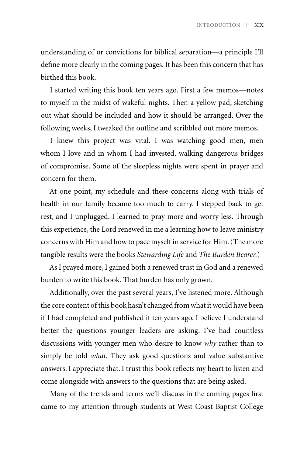understanding of or convictions for biblical separation—a principle I'll define more clearly in the coming pages. It has been this concern that has birthed this book.

I started writing this book ten years ago. First a few memos—notes to myself in the midst of wakeful nights. Then a yellow pad, sketching out what should be included and how it should be arranged. Over the following weeks, I tweaked the outline and scribbled out more memos.

I knew this project was vital. I was watching good men, men whom I love and in whom I had invested, walking dangerous bridges of compromise. Some of the sleepless nights were spent in prayer and concern for them.

At one point, my schedule and these concerns along with trials of health in our family became too much to carry. I stepped back to get rest, and I unplugged. I learned to pray more and worry less. Through this experience, the Lord renewed in me a learning how to leave ministry concerns with Him and how to pace myself in service for Him. (The more tangible results were the books *Stewarding Life* and *The Burden Bearer.*)

As I prayed more, I gained both a renewed trust in God and a renewed burden to write this book. That burden has only grown.

Additionally, over the past several years, I've listened more. Although the core content of this book hasn't changed from what it would have been if I had completed and published it ten years ago, I believe I understand better the questions younger leaders are asking. I've had countless discussions with younger men who desire to know *why* rather than to simply be told *what*. They ask good questions and value substantive answers. I appreciate that. I trust this book reflects my heart to listen and come alongside with answers to the questions that are being asked.

Many of the trends and terms we'll discuss in the coming pages first came to my attention through students at West Coast Baptist College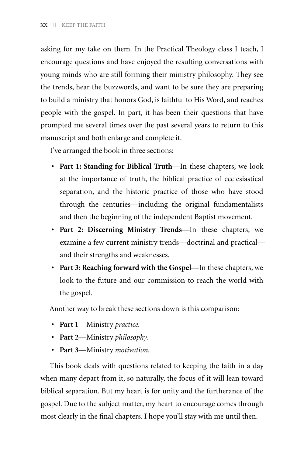asking for my take on them. In the Practical Theology class I teach, I encourage questions and have enjoyed the resulting conversations with young minds who are still forming their ministry philosophy. They see the trends, hear the buzzwords, and want to be sure they are preparing to build a ministry that honors God, is faithful to His Word, and reaches people with the gospel. In part, it has been their questions that have prompted me several times over the past several years to return to this manuscript and both enlarge and complete it.

I've arranged the book in three sections:

- **• Part 1: Standing for Biblical Truth**—In these chapters, we look at the importance of truth, the biblical practice of ecclesiastical separation, and the historic practice of those who have stood through the centuries—including the original fundamentalists and then the beginning of the independent Baptist movement.
- **• Part 2: Discerning Ministry Trends**—In these chapters, we examine a few current ministry trends—doctrinal and practical and their strengths and weaknesses.
- **• Part 3: Reaching forward with the Gospel**—In these chapters, we look to the future and our commission to reach the world with the gospel.

Another way to break these sections down is this comparison:

- **• Part 1**—Ministry *practice.*
- **• Part 2**—Ministry *philosophy.*
- **• Part 3**—Ministry *motivation.*

This book deals with questions related to keeping the faith in a day when many depart from it, so naturally, the focus of it will lean toward biblical separation. But my heart is for unity and the furtherance of the gospel. Due to the subject matter, my heart to encourage comes through most clearly in the final chapters. I hope you'll stay with me until then.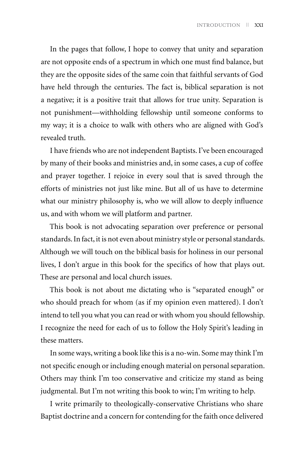In the pages that follow, I hope to convey that unity and separation are not opposite ends of a spectrum in which one must find balance, but they are the opposite sides of the same coin that faithful servants of God have held through the centuries. The fact is, biblical separation is not a negative; it is a positive trait that allows for true unity. Separation is not punishment—withholding fellowship until someone conforms to my way; it is a choice to walk with others who are aligned with God's revealed truth.

I have friends who are not independent Baptists. I've been encouraged by many of their books and ministries and, in some cases, a cup of coffee and prayer together. I rejoice in every soul that is saved through the efforts of ministries not just like mine. But all of us have to determine what our ministry philosophy is, who we will allow to deeply influence us, and with whom we will platform and partner.

This book is not advocating separation over preference or personal standards. In fact, it is not even about ministry style or personal standards. Although we will touch on the biblical basis for holiness in our personal lives, I don't argue in this book for the specifics of how that plays out. These are personal and local church issues.

This book is not about me dictating who is "separated enough" or who should preach for whom (as if my opinion even mattered). I don't intend to tell you what you can read or with whom you should fellowship. I recognize the need for each of us to follow the Holy Spirit's leading in these matters.

In some ways, writing a book like this is a no-win. Some may think I'm not specific enough or including enough material on personal separation. Others may think I'm too conservative and criticize my stand as being judgmental. But I'm not writing this book to win; I'm writing to help.

I write primarily to theologically-conservative Christians who share Baptist doctrine and a concern for contending for the faith once delivered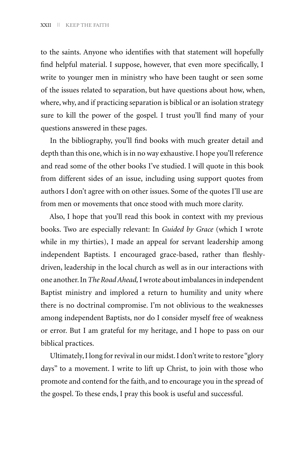to the saints. Anyone who identifies with that statement will hopefully find helpful material. I suppose, however, that even more specifically, I write to younger men in ministry who have been taught or seen some of the issues related to separation, but have questions about how, when, where, why, and if practicing separation is biblical or an isolation strategy sure to kill the power of the gospel. I trust you'll find many of your questions answered in these pages.

In the bibliography, you'll find books with much greater detail and depth than this one, which is in no way exhaustive. I hope you'll reference and read some of the other books I've studied. I will quote in this book from different sides of an issue, including using support quotes from authors I don't agree with on other issues. Some of the quotes I'll use are from men or movements that once stood with much more clarity.

Also, I hope that you'll read this book in context with my previous books. Two are especially relevant: In *Guided by Grace* (which I wrote while in my thirties), I made an appeal for servant leadership among independent Baptists. I encouraged grace-based, rather than fleshlydriven, leadership in the local church as well as in our interactions with one another. In *The Road Ahead,* I wrote about imbalances in independent Baptist ministry and implored a return to humility and unity where there is no doctrinal compromise. I'm not oblivious to the weaknesses among independent Baptists, nor do I consider myself free of weakness or error. But I am grateful for my heritage, and I hope to pass on our biblical practices.

Ultimately, I long for revival in our midst. I don't write to restore "glory days" to a movement. I write to lift up Christ, to join with those who promote and contend for the faith, and to encourage you in the spread of the gospel. To these ends, I pray this book is useful and successful.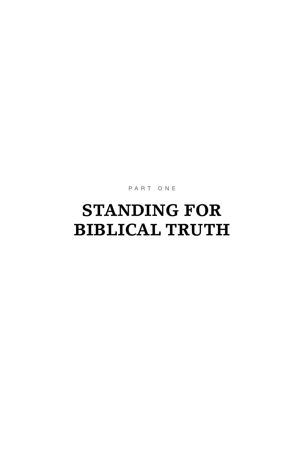PART ONE

# **STANDING FOR BIBLICAL TRUTH**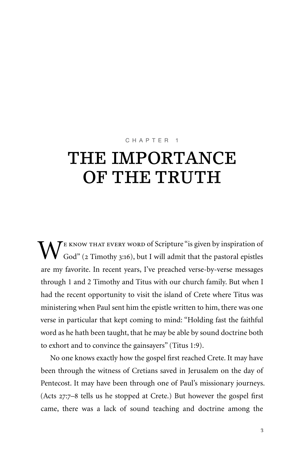#### CHAPTER 1

# THE IMPORTANCE OF THE TRUTH

 $\mathbf{W}^{\text{\tiny{E} KNOW THAT Every WORD of Scripture ``is given by inspiration of God'' (2 Timothy 3:16), but I will admit that the pastoral epistles$ are my favorite. In recent years, I've preached verse-by-verse messages through 1 and 2 Timothy and Titus with our church family. But when I had the recent opportunity to visit the island of Crete where Titus was ministering when Paul sent him the epistle written to him, there was one verse in particular that kept coming to mind: "Holding fast the faithful word as he hath been taught, that he may be able by sound doctrine both to exhort and to convince the gainsayers" (Titus 1:9).

No one knows exactly how the gospel first reached Crete. It may have been through the witness of Cretians saved in Jerusalem on the day of Pentecost. It may have been through one of Paul's missionary journeys. (Acts 27:7–8 tells us he stopped at Crete.) But however the gospel first came, there was a lack of sound teaching and doctrine among the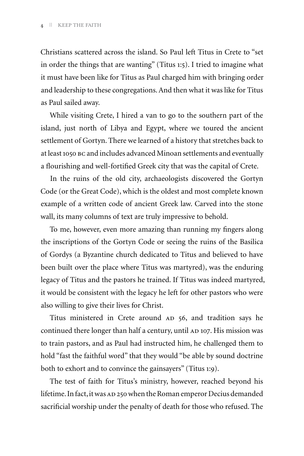Christians scattered across the island. So Paul left Titus in Crete to "set in order the things that are wanting" (Titus 1:5). I tried to imagine what it must have been like for Titus as Paul charged him with bringing order and leadership to these congregations. And then what it was like for Titus as Paul sailed away.

While visiting Crete, I hired a van to go to the southern part of the island, just north of Libya and Egypt, where we toured the ancient settlement of Gortyn. There we learned of a history that stretches back to at least 1050 bc and includes advanced Minoan settlements and eventually a flourishing and well-fortified Greek city that was the capital of Crete.

In the ruins of the old city, archaeologists discovered the Gortyn Code (or the Great Code), which is the oldest and most complete known example of a written code of ancient Greek law. Carved into the stone wall, its many columns of text are truly impressive to behold.

To me, however, even more amazing than running my fingers along the inscriptions of the Gortyn Code or seeing the ruins of the Basilica of Gordys (a Byzantine church dedicated to Titus and believed to have been built over the place where Titus was martyred), was the enduring legacy of Titus and the pastors he trained. If Titus was indeed martyred, it would be consistent with the legacy he left for other pastors who were also willing to give their lives for Christ.

Titus ministered in Crete around AD 56, and tradition says he continued there longer than half a century, until AD 107. His mission was to train pastors, and as Paul had instructed him, he challenged them to hold "fast the faithful word" that they would "be able by sound doctrine both to exhort and to convince the gainsayers" (Titus 1:9).

The test of faith for Titus's ministry, however, reached beyond his lifetime. In fact, it was AD 250 when the Roman emperor Decius demanded sacrificial worship under the penalty of death for those who refused. The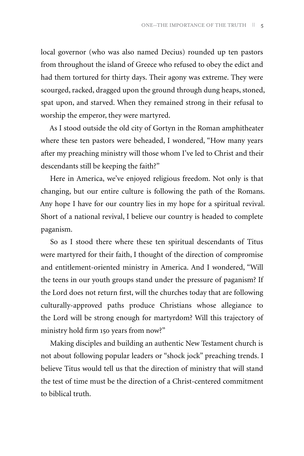local governor (who was also named Decius) rounded up ten pastors from throughout the island of Greece who refused to obey the edict and had them tortured for thirty days. Their agony was extreme. They were scourged, racked, dragged upon the ground through dung heaps, stoned, spat upon, and starved. When they remained strong in their refusal to worship the emperor, they were martyred.

As I stood outside the old city of Gortyn in the Roman amphitheater where these ten pastors were beheaded, I wondered, "How many years after my preaching ministry will those whom I've led to Christ and their descendants still be keeping the faith?"

Here in America, we've enjoyed religious freedom. Not only is that changing, but our entire culture is following the path of the Romans. Any hope I have for our country lies in my hope for a spiritual revival. Short of a national revival, I believe our country is headed to complete paganism.

So as I stood there where these ten spiritual descendants of Titus were martyred for their faith, I thought of the direction of compromise and entitlement-oriented ministry in America. And I wondered, "Will the teens in our youth groups stand under the pressure of paganism? If the Lord does not return first, will the churches today that are following culturally-approved paths produce Christians whose allegiance to the Lord will be strong enough for martyrdom? Will this trajectory of ministry hold firm 150 years from now?"

Making disciples and building an authentic New Testament church is not about following popular leaders or "shock jock" preaching trends. I believe Titus would tell us that the direction of ministry that will stand the test of time must be the direction of a Christ-centered commitment to biblical truth.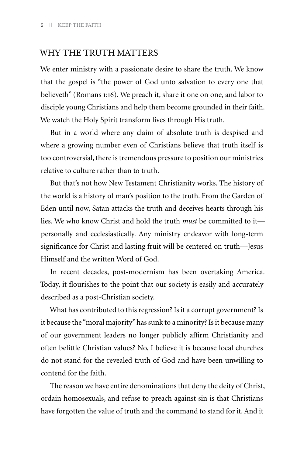#### WHY THE TRUTH MATTERS

We enter ministry with a passionate desire to share the truth. We know that the gospel is "the power of God unto salvation to every one that believeth" (Romans 1:16). We preach it, share it one on one, and labor to disciple young Christians and help them become grounded in their faith. We watch the Holy Spirit transform lives through His truth.

But in a world where any claim of absolute truth is despised and where a growing number even of Christians believe that truth itself is too controversial, there is tremendous pressure to position our ministries relative to culture rather than to truth.

But that's not how New Testament Christianity works. The history of the world is a history of man's position to the truth. From the Garden of Eden until now, Satan attacks the truth and deceives hearts through his lies. We who know Christ and hold the truth *must* be committed to it personally and ecclesiastically. Any ministry endeavor with long-term significance for Christ and lasting fruit will be centered on truth—Jesus Himself and the written Word of God.

In recent decades, post-modernism has been overtaking America. Today, it flourishes to the point that our society is easily and accurately described as a post-Christian society.

What has contributed to this regression? Is it a corrupt government? Is it because the "moral majority" has sunk to a minority? Is it because many of our government leaders no longer publicly affirm Christianity and often belittle Christian values? No, I believe it is because local churches do not stand for the revealed truth of God and have been unwilling to contend for the faith.

The reason we have entire denominations that deny the deity of Christ, ordain homosexuals, and refuse to preach against sin is that Christians have forgotten the value of truth and the command to stand for it. And it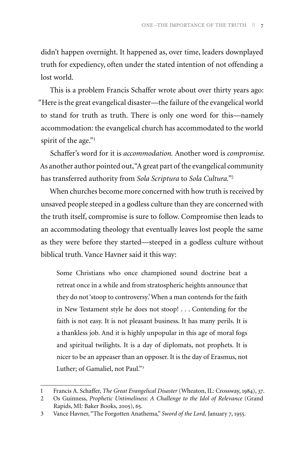didn't happen overnight. It happened as, over time, leaders downplayed truth for expediency, often under the stated intention of not offending a lost world.

This is a problem Francis Schaffer wrote about over thirty years ago: "Here is the great evangelical disaster—the failure of the evangelical world to stand for truth as truth. There is only one word for this—namely accommodation: the evangelical church has accommodated to the world spirit of the age."<sup>1</sup>

Schaffer's word for it is *accommodation.* Another word is *compromise.* As another author pointed out, "A great part of the evangelical community has transferred authority from *Sola Scriptura* to *Sola Cultura."*<sup>2</sup>

When churches become more concerned with how truth is received by unsaved people steeped in a godless culture than they are concerned with the truth itself, compromise is sure to follow. Compromise then leads to an accommodating theology that eventually leaves lost people the same as they were before they started—steeped in a godless culture without biblical truth. Vance Havner said it this way:

Some Christians who once championed sound doctrine beat a retreat once in a while and from stratospheric heights announce that they do not 'stoop to controversy.' When a man contends for the faith in New Testament style he does not stoop! . . . Contending for the faith is not easy. It is not pleasant business. It has many perils. It is a thankless job. And it is highly unpopular in this age of moral fogs and spiritual twilights. It is a day of diplomats, not prophets. It is nicer to be an appeaser than an opposer. It is the day of Erasmus, not Luther; of Gamaliel, not Paul."3

<sup>1</sup> Francis A. Schaffer, *The Great Evangelical Disaster* (Wheaton, IL: Crossway, 1984), 37.

<sup>2</sup> Os Guinness, *Prophetic Untimeliness: A Challenge to the Idol of Relevance* (Grand Rapids, MI*:* Baker Books, 2005), 65.

<sup>3</sup> Vance Havner, "The Forgotten Anathema," *Sword of the Lord,* January 7, 1955.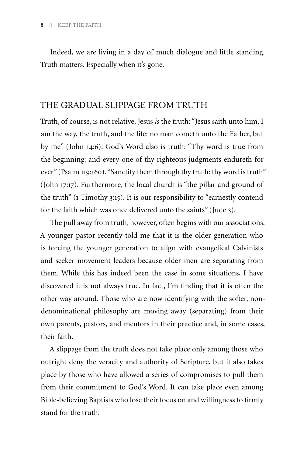Indeed, we are living in a day of much dialogue and little standing. Truth matters. Especially when it's gone.

#### THE GRADUAL SLIPPAGE FROM TRUTH

Truth, of course, is not relative. Jesus *is* the truth: "Jesus saith unto him, I am the way, the truth, and the life: no man cometh unto the Father, but by me" (John 14:6). God's Word also is truth: "Thy word is true from the beginning: and every one of thy righteous judgments endureth for ever" (Psalm 119:160). "Sanctify them through thy truth: thy word is truth" (John 17:17). Furthermore, the local church is "the pillar and ground of the truth" (1 Timothy 3:15). It is our responsibility to "earnestly contend for the faith which was once delivered unto the saints" (Jude 3).

The pull away from truth, however, often begins with our associations. A younger pastor recently told me that it is the older generation who is forcing the younger generation to align with evangelical Calvinists and seeker movement leaders because older men are separating from them. While this has indeed been the case in some situations, I have discovered it is not always true. In fact, I'm finding that it is often the other way around. Those who are now identifying with the softer, nondenominational philosophy are moving away (separating) from their own parents, pastors, and mentors in their practice and, in some cases, their faith.

A slippage from the truth does not take place only among those who outright deny the veracity and authority of Scripture, but it also takes place by those who have allowed a series of compromises to pull them from their commitment to God's Word. It can take place even among Bible-believing Baptists who lose their focus on and willingness to firmly stand for the truth.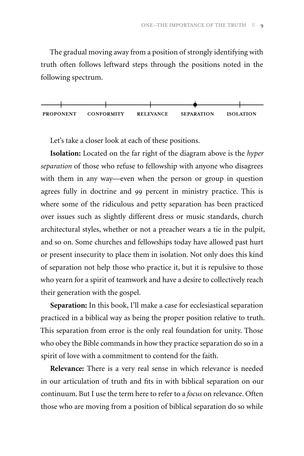The gradual moving away from a position of strongly identifying with truth often follows leftward steps through the positions noted in the following spectrum.



Let's take a closer look at each of these positions.

**Isolation:** Located on the far right of the diagram above is the *hyper separation* of those who refuse to fellowship with anyone who disagrees with them in any way—even when the person or group in question agrees fully in doctrine and 99 percent in ministry practice. This is where some of the ridiculous and petty separation has been practiced over issues such as slightly different dress or music standards, church architectural styles, whether or not a preacher wears a tie in the pulpit, and so on. Some churches and fellowships today have allowed past hurt or present insecurity to place them in isolation. Not only does this kind of separation not help those who practice it, but it is repulsive to those who yearn for a spirit of teamwork and have a desire to collectively reach their generation with the gospel.

**Separation:** In this book, I'll make a case for ecclesiastical separation practiced in a biblical way as being the proper position relative to truth. This separation from error is the only real foundation for unity. Those who obey the Bible commands in how they practice separation do so in a spirit of love with a commitment to contend for the faith.

**Relevance:** There is a very real sense in which relevance is needed in our articulation of truth and fits in with biblical separation on our continuum. But I use the term here to refer to a *focus* on relevance. Often those who are moving from a position of biblical separation do so while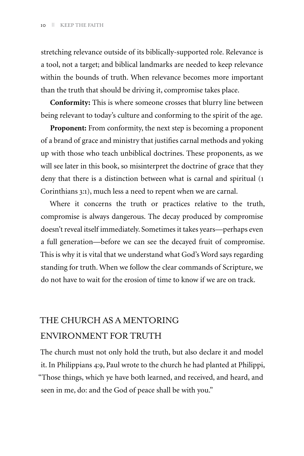stretching relevance outside of its biblically-supported role. Relevance is a tool, not a target; and biblical landmarks are needed to keep relevance within the bounds of truth. When relevance becomes more important than the truth that should be driving it, compromise takes place.

**Conformity:** This is where someone crosses that blurry line between being relevant to today's culture and conforming to the spirit of the age.

**Proponent:** From conformity, the next step is becoming a proponent of a brand of grace and ministry that justifies carnal methods and yoking up with those who teach unbiblical doctrines. These proponents, as we will see later in this book, so misinterpret the doctrine of grace that they deny that there is a distinction between what is carnal and spiritual (1 Corinthians 3:1), much less a need to repent when we are carnal.

Where it concerns the truth or practices relative to the truth, compromise is always dangerous. The decay produced by compromise doesn't reveal itself immediately. Sometimes it takes years—perhaps even a full generation—before we can see the decayed fruit of compromise. This is why it is vital that we understand what God's Word says regarding standing for truth. When we follow the clear commands of Scripture, we do not have to wait for the erosion of time to know if we are on track.

#### THE CHURCH AS A MENTORING ENVIRONMENT FOR TRUTH

The church must not only hold the truth, but also declare it and model it. In Philippians 4:9, Paul wrote to the church he had planted at Philippi, "Those things, which ye have both learned, and received, and heard, and seen in me, do: and the God of peace shall be with you."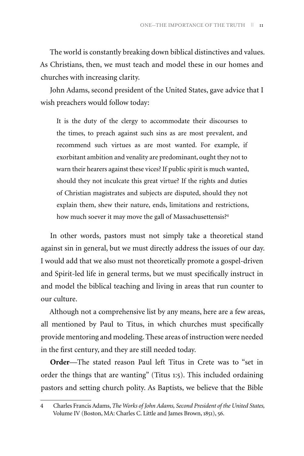The world is constantly breaking down biblical distinctives and values. As Christians, then, we must teach and model these in our homes and churches with increasing clarity.

John Adams, second president of the United States, gave advice that I wish preachers would follow today:

It is the duty of the clergy to accommodate their discourses to the times, to preach against such sins as are most prevalent, and recommend such virtues as are most wanted. For example, if exorbitant ambition and venality are predominant, ought they not to warn their hearers against these vices? If public spirit is much wanted, should they not inculcate this great virtue? If the rights and duties of Christian magistrates and subjects are disputed, should they not explain them, shew their nature, ends, limitations and restrictions, how much soever it may move the gall of Massachusettensis?<sup>4</sup>

In other words, pastors must not simply take a theoretical stand against sin in general, but we must directly address the issues of our day. I would add that we also must not theoretically promote a gospel-driven and Spirit-led life in general terms, but we must specifically instruct in and model the biblical teaching and living in areas that run counter to our culture.

Although not a comprehensive list by any means, here are a few areas, all mentioned by Paul to Titus, in which churches must specifically provide mentoring and modeling. These areas of instruction were needed in the first century, and they are still needed today.

**Order**—The stated reason Paul left Titus in Crete was to "set in order the things that are wanting" (Titus 1:5). This included ordaining pastors and setting church polity. As Baptists, we believe that the Bible

<sup>4</sup> Charles Francis Adams, *The Works of John Adams, Second President of the United States,*  Volume IV (Boston, MA: Charles C. Little and James Brown, 1851), 56.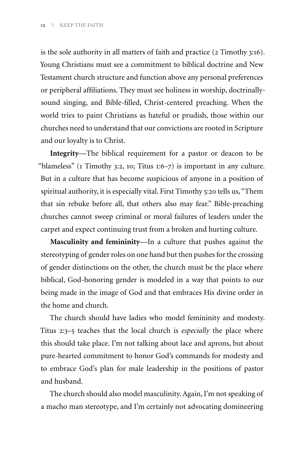is the sole authority in all matters of faith and practice (2 Timothy 3:16). Young Christians must see a commitment to biblical doctrine and New Testament church structure and function above any personal preferences or peripheral affiliations. They must see holiness in worship, doctrinallysound singing, and Bible-filled, Christ-centered preaching. When the world tries to paint Christians as hateful or prudish, those within our churches need to understand that our convictions are rooted in Scripture and our loyalty is to Christ.

**Integrity**—The biblical requirement for a pastor or deacon to be "blameless" (1 Timothy 3:2, 10; Titus 1:6–7) is important in any culture. But in a culture that has become suspicious of anyone in a position of spiritual authority, it is especially vital. First Timothy 5:20 tells us, "Them that sin rebuke before all, that others also may fear." Bible-preaching churches cannot sweep criminal or moral failures of leaders under the carpet and expect continuing trust from a broken and hurting culture.

**Masculinity and femininity**—In a culture that pushes against the stereotyping of gender roles on one hand but then pushes for the crossing of gender distinctions on the other, the church must be the place where biblical, God-honoring gender is modeled in a way that points to our being made in the image of God and that embraces His divine order in the home and church.

The church should have ladies who model femininity and modesty. Titus 2:3–5 teaches that the local church is *especially* the place where this should take place. I'm not talking about lace and aprons, but about pure-hearted commitment to honor God's commands for modesty and to embrace God's plan for male leadership in the positions of pastor and husband.

The church should also model masculinity. Again, I'm not speaking of a macho man stereotype, and I'm certainly not advocating domineering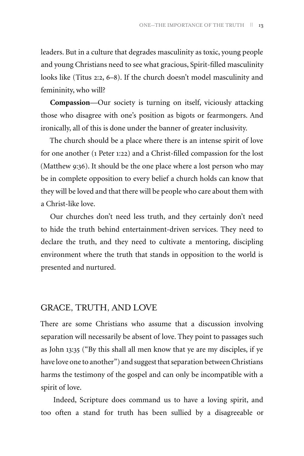leaders. But in a culture that degrades masculinity as toxic, young people and young Christians need to see what gracious, Spirit-filled masculinity looks like (Titus 2:2, 6–8). If the church doesn't model masculinity and femininity, who will?

**Compassion**—Our society is turning on itself, viciously attacking those who disagree with one's position as bigots or fearmongers. And ironically, all of this is done under the banner of greater inclusivity.

The church should be a place where there is an intense spirit of love for one another (1 Peter 1:22) and a Christ-filled compassion for the lost (Matthew 9:36). It should be the one place where a lost person who may be in complete opposition to every belief a church holds can know that they will be loved and that there will be people who care about them with a Christ-like love.

Our churches don't need less truth, and they certainly don't need to hide the truth behind entertainment-driven services. They need to declare the truth, and they need to cultivate a mentoring, discipling environment where the truth that stands in opposition to the world is presented and nurtured.

#### GRACE, TRUTH, AND LOVE

There are some Christians who assume that a discussion involving separation will necessarily be absent of love. They point to passages such as John 13:35 ("By this shall all men know that ye are my disciples, if ye have love one to another") and suggest that separation between Christians harms the testimony of the gospel and can only be incompatible with a spirit of love.

 Indeed, Scripture does command us to have a loving spirit, and too often a stand for truth has been sullied by a disagreeable or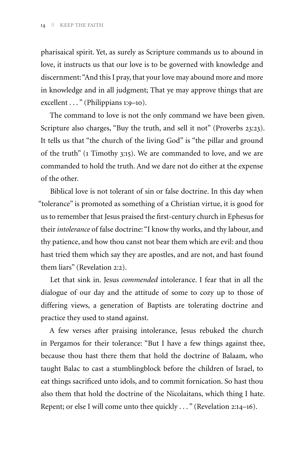pharisaical spirit. Yet, as surely as Scripture commands us to abound in love, it instructs us that our love is to be governed with knowledge and discernment: "And this I pray, that your love may abound more and more in knowledge and in all judgment; That ye may approve things that are excellent . . . " (Philippians 1:9-10).

The command to love is not the only command we have been given. Scripture also charges, "Buy the truth, and sell it not" (Proverbs 23:23). It tells us that "the church of the living God" is "the pillar and ground of the truth" (1 Timothy 3:15). We are commanded to love, and we are commanded to hold the truth. And we dare not do either at the expense of the other.

Biblical love is not tolerant of sin or false doctrine. In this day when "tolerance" is promoted as something of a Christian virtue, it is good for us to remember that Jesus praised the first-century church in Ephesus for their *intolerance* of false doctrine: "I know thy works, and thy labour, and thy patience, and how thou canst not bear them which are evil: and thou hast tried them which say they are apostles, and are not, and hast found them liars" (Revelation 2:2).

Let that sink in. Jesus *commended* intolerance. I fear that in all the dialogue of our day and the attitude of some to cozy up to those of differing views, a generation of Baptists are tolerating doctrine and practice they used to stand against.

A few verses after praising intolerance, Jesus rebuked the church in Pergamos for their tolerance: "But I have a few things against thee, because thou hast there them that hold the doctrine of Balaam, who taught Balac to cast a stumblingblock before the children of Israel, to eat things sacrificed unto idols, and to commit fornication. So hast thou also them that hold the doctrine of the Nicolaitans, which thing I hate. Repent; or else I will come unto thee quickly . . . " (Revelation 2:14–16).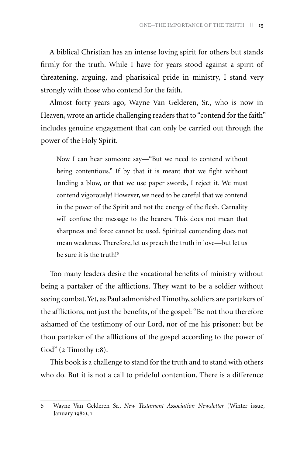A biblical Christian has an intense loving spirit for others but stands firmly for the truth. While I have for years stood against a spirit of threatening, arguing, and pharisaical pride in ministry, I stand very strongly with those who contend for the faith.

Almost forty years ago, Wayne Van Gelderen, Sr., who is now in Heaven, wrote an article challenging readers that to "contend for the faith" includes genuine engagement that can only be carried out through the power of the Holy Spirit.

Now I can hear someone say—"But we need to contend without being contentious." If by that it is meant that we fight without landing a blow, or that we use paper swords, I reject it. We must contend vigorously! However, we need to be careful that we contend in the power of the Spirit and not the energy of the flesh. Carnality will confuse the message to the hearers. This does not mean that sharpness and force cannot be used. Spiritual contending does not mean weakness. Therefore, let us preach the truth in love—but let us be sure it is the truth!<sup>5</sup>

Too many leaders desire the vocational benefits of ministry without being a partaker of the afflictions. They want to be a soldier without seeing combat. Yet, as Paul admonished Timothy, soldiers are partakers of the afflictions, not just the benefits, of the gospel: "Be not thou therefore ashamed of the testimony of our Lord, nor of me his prisoner: but be thou partaker of the afflictions of the gospel according to the power of God" (2 Timothy 1:8).

This book is a challenge to stand for the truth and to stand with others who do. But it is not a call to prideful contention. There is a difference

<sup>5</sup> Wayne Van Gelderen Sr., *New Testament Association Newsletter* (Winter issue, January 1982), 1.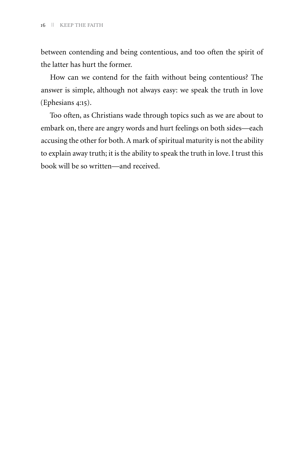between contending and being contentious, and too often the spirit of the latter has hurt the former.

How can we contend for the faith without being contentious? The answer is simple, although not always easy: we speak the truth in love (Ephesians 4:15).

Too often, as Christians wade through topics such as we are about to embark on, there are angry words and hurt feelings on both sides—each accusing the other for both. A mark of spiritual maturity is not the ability to explain away truth; it is the ability to speak the truth in love. I trust this book will be so written—and received.